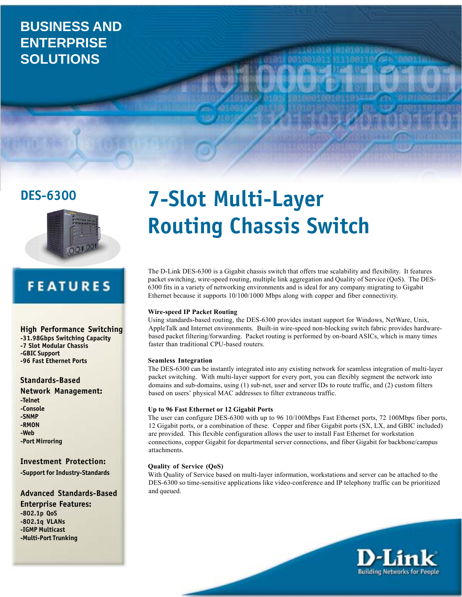## **BUSINESS AND ENTERPRISE SOLUTIONS**

**DES-6300**



# **FEATURES**

**High Performance Switching -31.98Gbps Switching Capacity -7 Slot Modular Chassis -GBIC Support -96 Fast Ethernet Ports**

**Standards-Based**

**Network Management:**

**-Telnet -Console -SNMP -RMON -Web -Port Mirroring**

### **Investment Protection:**

**-Support for Industry-Standards**

### **Advanced Standards-Based**

**Enterprise Features: -802.1p QoS -802.1q VLANs -IGMP Multicast -Multi-Port Trunking**

# **7-Slot Multi-Layer Routing Chassis Switch**

The D-Link DES-6300 is a Gigabit chassis switch that offers true scalability and flexibility. It features packet switching, wire-speed routing, multiple link aggregation and Quality of Service (QoS). The DES-6300 fits in a variety of networking environments and is ideal for any company migrating to Gigabit Ethernet because it supports 10/100/1000 Mbps along with copper and fiber connectivity.

### **Wire-speed IP Packet Routing**

Using standards-based routing, the DES-6300 provides instant support for Windows, NetWare, Unix, AppleTalk and Internet environments. Built-in wire-speed non-blocking switch fabric provides hardwarebased packet filtering/forwarding. Packet routing is performed by on-board ASICs, which is many times faster than traditional CPU-based routers.

### **Seamless Integration**

The DES-6300 can be instantly integrated into any existing network for seamless integration of multi-layer packet switching. With multi-layer support for every port, you can flexibly segment the network into domains and sub-domains, using (1) sub-net, user and server IDs to route traffic, and (2) custom filters based on users' physical MAC addresses to filter extraneous traffic.

### **Up to 96 Fast Ethernet or 12 Gigabit Ports**

The user can configure DES-6300 with up to 96 10/100Mbps Fast Ethernet ports, 72 100Mbps fiber ports, 12 Gigabit ports, or a combination of these. Copper and fiber Gigabit ports (SX, LX, and GBIC included) are provided. This flexible configuration allows the user to install Fast Ethernet for workstation connections, copper Gigabit for departmental server connections, and fiber Gigabit for backbone/campus attachments.

### **Quality of Service (QoS)**

With Quality of Service based on multi-layer information, workstations and server can be attached to the DES-6300 so time-sensitive applications like video-conference and IP telephony traffic can be prioritized and queued.

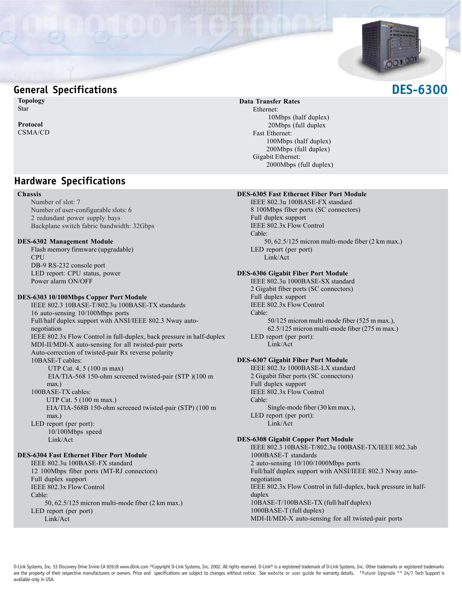

### **General Specifications**

**Topology** Star

**Protocol** CSMA/CD

### **Hardware Specifications**

### **Chassis**

Number of slot: 7 Number of user-configurable slots: 6 2 redundant power supply bays Backplane switch fabric bandwidth: 32Gbps

### **DES-6302 Management Module**

Flash memory firmware (upgradable) CPU DB-9 RS-232 console port LED report: CPU status, power Power alarm ON/OFF

### **DES-6303 10/100Mbps Copper Port Module**

IEEE 802.3 10BASE-T/802.3u 100BASE-TX standards 16 auto-sensing 10/100Mbps ports Full/half duplex support with ANSI/IEEE 802.3 Nway autonegotiation IEEE 802.3x Flow Control in full-duplex, back pressure in half-duplex MDI-II/MDI-X auto-sensing for all twisted-pair ports Auto-correction of twisted-pair Rx reverse polarity 10BASE-T cables: UTP Cat. 4, 5 (100 m max) EIA/TIA-568 150-ohm screened twisted-pair (STP )(100 m max.) 100BASE-TX cables: UTP Cat. 5 (100 m max.) EIA/TIA-568B 150-ohm screened twisted-pair (STP) (100 m max.) LED report (per port): 10/100Mbps speed Link/Act **DES-6304 Fast Ethernet Fiber Port Module** IEEE 802.3u 100BASE-FX standard

12 100Mbps fiber ports (MT-RJ connectors) Full duplex support IEEE 802.3x Flow Control Cable: 50, 62.5/125 micron multi-mode fiber (2 km max.) LED report (per port) Link/Act

### **Data Transfer Rates**

Ethernet: 10Mbps (half duplex) 20Mbps (full duplex Fast Ethernet: 100Mbps (half duplex) 200Mbps (full duplex) Gigabit Ethernet: 2000Mbps (full duplex)

### **DES-6305 Fast Ethernet Fiber Port Module**

IEEE 802.3u 100BASE-FX standard 8 100Mbps fiber ports (SC connectors) Full duplex support IEEE 802.3x Flow Control Cable: 50, 62.5/125 micron multi-mode fiber (2 km max.) LED report (per port) Link/Act

### **DES-6306 Gigabit Fiber Port Module**

IEEE 802.3u 1000BASE-SX standard 2 Gigabit fiber ports (SC connectors) Full duplex support IEEE 802.3x Flow Control Cable: 50/125 micron multi-mode fiber (525 m max.), 62.5/125 micron multi-mode fiber (275 m max.) LED report (per port): Link/Act

### **DES-6307 Gigabit Fiber Port Module**

IEEE 802.3z 1000BASE-LX standard 2 Gigabit fiber ports (SC connectors) Full duplex support IEEE 802.3x Flow Control Cable: Single-mode fiber (30 km max.), LED report (per port): Link/Act

### **DES-6308 Gigabit Copper Port Module**

IEEE 802.3 10BASE-T/802.3u 100BASE-TX/IEEE 802.3ab 1000BASE-T standards 2 auto-sensing 10/100/1000Mbps ports Full/half duplex support with ANSI/IEEE 802.3 Nway autonegotiation IEEE 802.3x Flow Control in full-duplex, back pressure in halfduplex 10BASE-T/100BASE-TX (full/half duplex) 1000BASE-T (full duplex) MDI-II/MDI-X auto-sensing for all twisted-pair ports

### **DES-6300**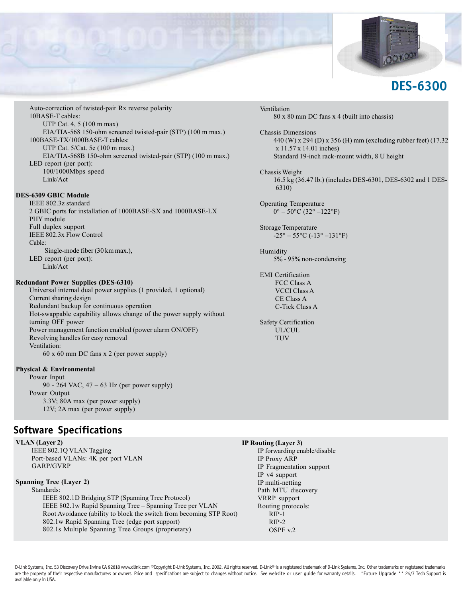

Auto-correction of twisted-pair Rx reverse polarity 10BASE-T cables: UTP Cat. 4, 5 (100 m max) EIA/TIA-568 150-ohm screened twisted-pair (STP) (100 m max.) 100BASE-TX/1000BASE-T cables: UTP Cat. 5/Cat. 5e (100 m max.) EIA/TIA-568B 150-ohm screened twisted-pair (STP) (100 m max.) LED report (per port): 100/1000Mbps speed Link/Act

### **DES-6309 GBIC Module**

IEEE 802.3z standard 2 GBIC ports for installation of 1000BASE-SX and 1000BASE-LX PHY module Full duplex support IEEE 802.3x Flow Control Cable: Single-mode fiber (30 km max.), LED report (per port): Link/Act

### **Redundant Power Supplies (DES-6310)**

Universal internal dual power supplies (1 provided, 1 optional) Current sharing design Redundant backup for continuous operation Hot-swappable capability allows change of the power supply without turning OFF power Power management function enabled (power alarm ON/OFF) Revolving handles for easy removal Ventilation: 60 x 60 mm DC fans x 2 (per power supply)

### **Physical & Environmental**

Power Input 90 - 264 VAC, 47 – 63 Hz (per power supply) Power Output 3.3V; 80A max (per power supply) 12V; 2A max (per power supply)

### **Software Specifications**

**VLAN (Layer 2)** IEEE 802.1Q VLAN Tagging Port-based VLANs: 4K per port VLAN GARP/GVRP

### **Spanning Tree (Layer 2)**

Standards:

IEEE 802.1D Bridging STP (Spanning Tree Protocol) IEEE 802.1w Rapid Spanning Tree – Spanning Tree per VLAN Root Avoidance (ability to block the switch from becoming STP Root) 802.1w Rapid Spanning Tree (edge port support) 802.1s Multiple Spanning Tree Groups (proprietary)

Ventilation 80 x 80 mm DC fans x 4 (built into chassis)

Chassis Dimensions 440 (W) x 294 (D) x 356 (H) mm (excluding rubber feet) (17.32 x 11.57 x 14.01 inches) Standard 19-inch rack-mount width, 8 U height

Chassis Weight 16.5 kg (36.47 lb.) (includes DES-6301, DES-6302 and 1 DES-6310)

Operating Temperature  $0^{\circ} - 50^{\circ}$ C (32° –122°F)

Storage Temperature  $-25^{\circ} - 55^{\circ}$ C ( $-13^{\circ} - 131^{\circ}$ F)

Humidity 5% - 95% non-condensing

EMI Certification FCC Class A VCCI Class A CE Class A C-Tick Class A

Safety Certification UL/CUL **TUV** 

**IP Routing (Layer 3)**

IP forwarding enable/disable IP Proxy ARP IP Fragmentation support IP v4 support IP multi-netting Path MTU discovery VRRP support Routing protocols: RIP-1 RIP-2 OSPF v.2

D-Link Systems, Inc. 53 Discovery Drive Irvine CA 92618 www.dlink.com ©Copyright D-Link Systems, Inc. 2002. All rights reserved. D-Link® is a registered trademark of D-Link Systems, Inc. Other trademarks or registered trad are the property of their respective manufacturers or owners. Price and specifications are subject to changes without notice. See website or user guide for warranty details. \*Future Upgrade \*\* 24/7 Tech Support is available only in USA.